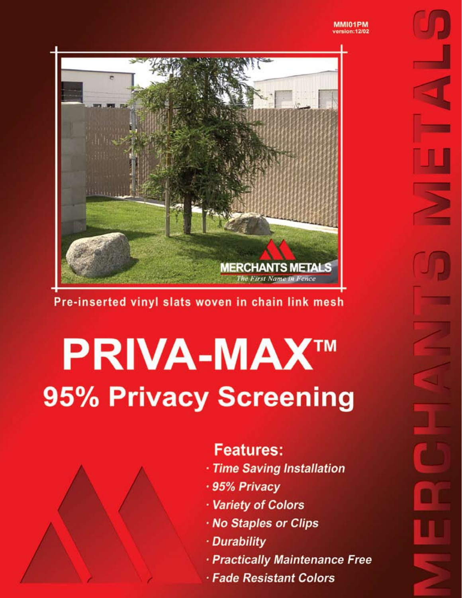#### MMI01PM version:12/02



## Pre-inserted vinyl slats woven in chain link mesh

# **PRIVA-MAX™ 95% Privacy Screening**



## **Features:**

- · Time Saving Installation
- · 95% Privacy
- · Variety of Colors
- · No Staples or Clips
- · Durability
- · Practically Maintenance Free
- · Fade Resistant Colors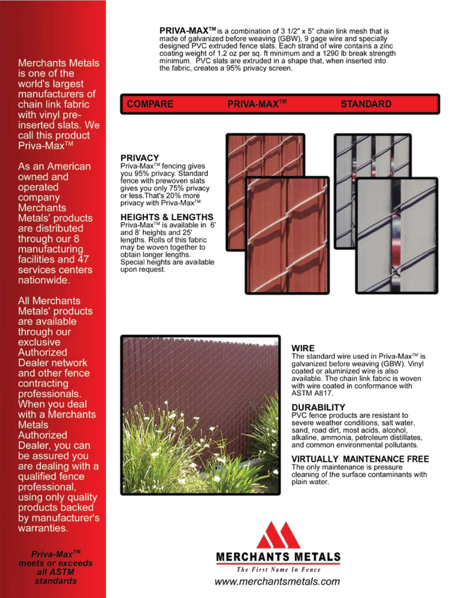**Merchants Metals** is one of the world's largest manufacturers of chain link fabric with vinyl preinserted slats. We call this product Priva-Max<sup>™</sup>

As an American owned and operated company **Merchants** Metals' products are distributed through our 8 manufacturing facilities and 47 services centers nationwide.

**All Merchants** Metals' products are available through our exclusive Authorized Dealer network and other fence contracting professionals. When you deal with a Merchants **Metals** Authorized Dealer, you can be assured you are dealing with a qualified fence professional. using only quality products backed by manufacturer's warranties.

 $Priva-Max^{IM}$ meets or exceeds all ASTM **standards** 

**PRIVA-MAX<sup>TM</sup>** is a combination of 3  $1/2$ " x 5" chain link mesh that is made of galvanized before weaving (GBW), 9 gage wire and specially designed PVC extruded fence slats. Each strand of wire contains a zinc coating weight of 1.2 oz per sq. ft minimum and a 1290 lb break strength minimum. PVC slats are extruded in a shape that, when inserted into the fabric, creates a 95% privacy screen.

#### **COMPARE**

### **PRIVA-MAX<sup>TM</sup>**

#### **STANDARD**

#### **PRIVACY**

Priva-Max<sup>™</sup> fencing gives you 95% privacy. Standard fence with prewoven slats gives you only 75% privacy<br>or less. That's 20% more privacy with Priva-Max™

#### **HEIGHTS & LENGTHS**

Priva-Max<sup>™</sup> is available in 6' and 8' heights and 25' lengths. Rolls of this fabric may be woven together to obtain longer lengths. Special heights are available upon request.







#### **WIRE**

The standard wire used in Priva-Max™ is galvanized before weaving (GBW). Vinyl coated or aluminized wire is also available. The chain link fabric is woven with wire coated in conformance with **ASTM A817.** 

#### DURABILITY

PVC fence products are resistant to severe weather conditions, salt water, sand, road dirt, most acids, alcohol, alkaline, ammonia, petroleum distillates, and common environmental pollutants.

#### **VIRTUALLY MAINTENANCE FREE**

The only maintenance is pressure cleaning of the surface contaminants with plain water.